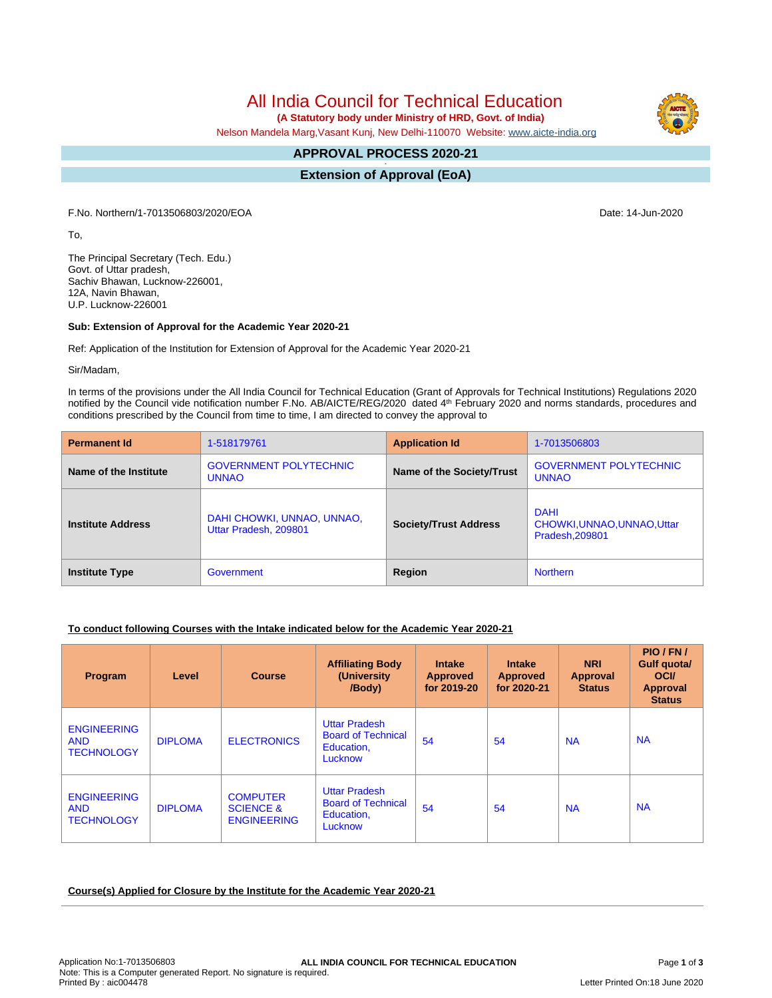All India Council for Technical Education

 **(A Statutory body under Ministry of HRD, Govt. of India)**

Nelson Mandela Marg,Vasant Kunj, New Delhi-110070 Website: [www.aicte-india.org](http://www.aicte-india.org)

# **APPROVAL PROCESS 2020-21**

**- Extension of Approval (EoA)**

F.No. Northern/1-7013506803/2020/EOA Date: 14-Jun-2020

To,

The Principal Secretary (Tech. Edu.) Govt. of Uttar pradesh, Sachiv Bhawan, Lucknow-226001, 12A, Navin Bhawan, U.P. Lucknow-226001

## **Sub: Extension of Approval for the Academic Year 2020-21**

Ref: Application of the Institution for Extension of Approval for the Academic Year 2020-21

Sir/Madam,

In terms of the provisions under the All India Council for Technical Education (Grant of Approvals for Technical Institutions) Regulations 2020 notified by the Council vide notification number F.No. AB/AICTE/REG/2020 dated 4<sup>th</sup> February 2020 and norms standards, procedures and conditions prescribed by the Council from time to time, I am directed to convey the approval to

| <b>Permanent Id</b>      | 1-518179761                                         | <b>Application Id</b>        | 1-7013506803                                                  |
|--------------------------|-----------------------------------------------------|------------------------------|---------------------------------------------------------------|
| Name of the Institute    | <b>GOVERNMENT POLYTECHNIC</b><br><b>UNNAO</b>       | Name of the Society/Trust    | <b>GOVERNMENT POLYTECHNIC</b><br><b>UNNAO</b>                 |
| <b>Institute Address</b> | DAHI CHOWKI, UNNAO, UNNAO,<br>Uttar Pradesh, 209801 | <b>Society/Trust Address</b> | <b>DAHI</b><br>CHOWKI, UNNAO, UNNAO, Uttar<br>Pradesh, 209801 |
| <b>Institute Type</b>    | Government                                          | Region                       | <b>Northern</b>                                               |

## **To conduct following Courses with the Intake indicated below for the Academic Year 2020-21**

| Program                                               | Level          | <b>Course</b>                                                 | <b>Affiliating Body</b><br>(University<br>/Body)                           | <b>Intake</b><br><b>Approved</b><br>for 2019-20 | <b>Intake</b><br><b>Approved</b><br>for 2020-21 | <b>NRI</b><br>Approval<br><b>Status</b> | PIO/FN/<br>Gulf quota/<br><b>OCI</b><br><b>Approval</b><br><b>Status</b> |
|-------------------------------------------------------|----------------|---------------------------------------------------------------|----------------------------------------------------------------------------|-------------------------------------------------|-------------------------------------------------|-----------------------------------------|--------------------------------------------------------------------------|
| <b>ENGINEERING</b><br><b>AND</b><br><b>TECHNOLOGY</b> | <b>DIPLOMA</b> | <b>ELECTRONICS</b>                                            | <b>Uttar Pradesh</b><br><b>Board of Technical</b><br>Education,<br>Lucknow | 54                                              | 54                                              | <b>NA</b>                               | <b>NA</b>                                                                |
| <b>ENGINEERING</b><br><b>AND</b><br><b>TECHNOLOGY</b> | <b>DIPLOMA</b> | <b>COMPUTER</b><br><b>SCIENCE &amp;</b><br><b>ENGINEERING</b> | <b>Uttar Pradesh</b><br><b>Board of Technical</b><br>Education,<br>Lucknow | 54                                              | 54                                              | <b>NA</b>                               | <b>NA</b>                                                                |

#### **Course(s) Applied for Closure by the Institute for the Academic Year 2020-21**

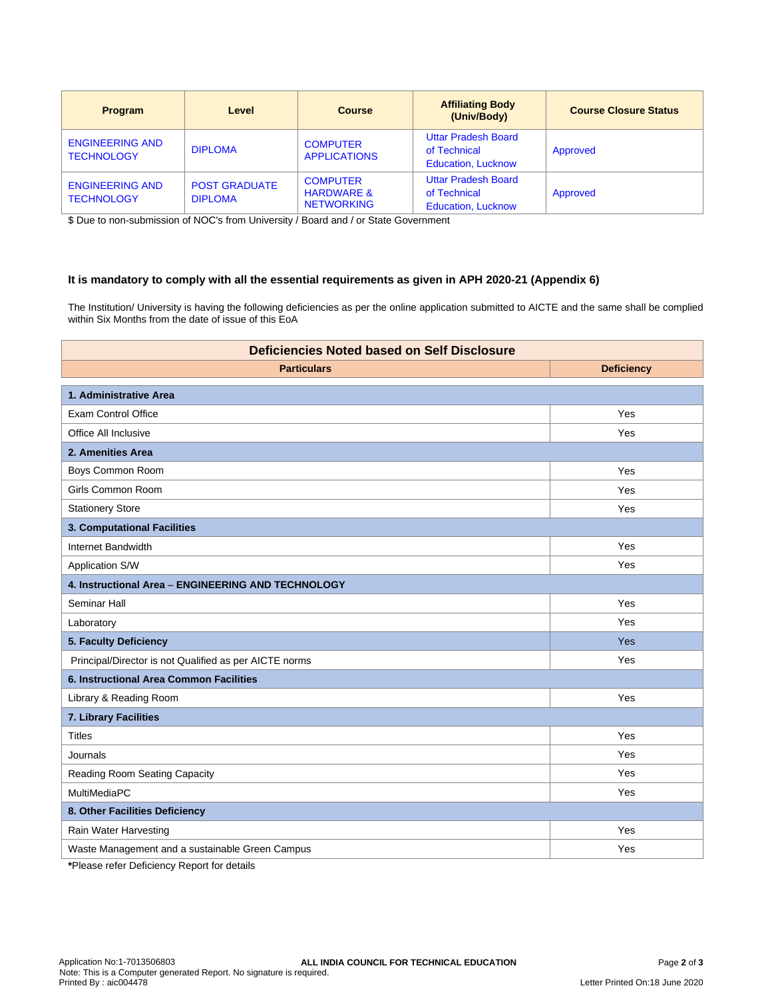| <b>Program</b>                              | Level                                  | <b>Course</b>                                                 | <b>Affiliating Body</b><br>(Univ/Body)                                  | <b>Course Closure Status</b> |
|---------------------------------------------|----------------------------------------|---------------------------------------------------------------|-------------------------------------------------------------------------|------------------------------|
| <b>ENGINEERING AND</b><br><b>TECHNOLOGY</b> | <b>DIPLOMA</b>                         | <b>COMPUTER</b><br><b>APPLICATIONS</b>                        | <b>Uttar Pradesh Board</b><br>of Technical<br><b>Education, Lucknow</b> | Approved                     |
| <b>ENGINEERING AND</b><br><b>TECHNOLOGY</b> | <b>POST GRADUATE</b><br><b>DIPLOMA</b> | <b>COMPUTER</b><br><b>HARDWARE &amp;</b><br><b>NETWORKING</b> | <b>Uttar Pradesh Board</b><br>of Technical<br><b>Education, Lucknow</b> | Approved                     |

\$ Due to non-submission of NOC's from University / Board and / or State Government

## **It is mandatory to comply with all the essential requirements as given in APH 2020-21 (Appendix 6)**

The Institution/ University is having the following deficiencies as per the online application submitted to AICTE and the same shall be complied within Six Months from the date of issue of this EoA

| <b>Deficiencies Noted based on Self Disclosure</b>                            |                   |  |  |
|-------------------------------------------------------------------------------|-------------------|--|--|
| <b>Particulars</b>                                                            | <b>Deficiency</b> |  |  |
| 1. Administrative Area                                                        |                   |  |  |
| <b>Exam Control Office</b>                                                    | Yes               |  |  |
| Office All Inclusive                                                          | Yes               |  |  |
| 2. Amenities Area                                                             |                   |  |  |
| Boys Common Room                                                              | Yes               |  |  |
| Girls Common Room                                                             | Yes               |  |  |
| <b>Stationery Store</b>                                                       | Yes               |  |  |
| 3. Computational Facilities                                                   |                   |  |  |
| Internet Bandwidth                                                            | Yes               |  |  |
| Application S/W                                                               | Yes               |  |  |
| 4. Instructional Area - ENGINEERING AND TECHNOLOGY                            |                   |  |  |
| Seminar Hall                                                                  | Yes               |  |  |
| Laboratory                                                                    | Yes               |  |  |
| 5. Faculty Deficiency                                                         | <b>Yes</b>        |  |  |
| Principal/Director is not Qualified as per AICTE norms                        | Yes               |  |  |
| 6. Instructional Area Common Facilities                                       |                   |  |  |
| Library & Reading Room                                                        | Yes               |  |  |
| 7. Library Facilities                                                         |                   |  |  |
| <b>Titles</b>                                                                 | Yes               |  |  |
| Journals                                                                      | Yes               |  |  |
| Reading Room Seating Capacity                                                 | Yes               |  |  |
| MultiMediaPC                                                                  | Yes               |  |  |
| 8. Other Facilities Deficiency                                                |                   |  |  |
| Rain Water Harvesting                                                         | Yes               |  |  |
| Waste Management and a sustainable Green Campus                               | Yes               |  |  |
| $\bullet$ Discussed as from District sections. Discussed from the first state |                   |  |  |

**\***Please refer Deficiency Report for details